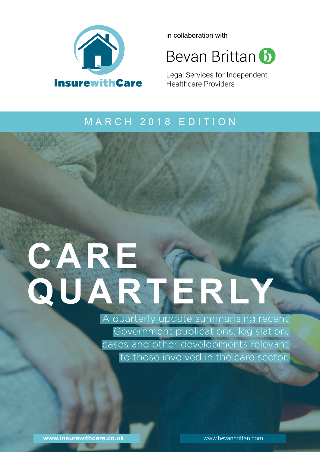

in collaboration with

**Bevan Brittan b** 

Legal Services for Independent Healthcare Providers

### MARCH 2018 EDITION

# **Care**  QUARTERLY

A quarterly update summarising recent Government publications, legislation, cases and other developments relevant to those involved in the care sector.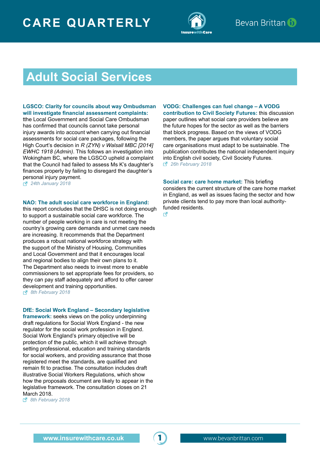

### **Adult Social Services**

**[LGSCO: Clarity for councils about way Ombudsman](https://www.lgo.org.uk/information-centre/news/2018/jan/clarity-for-councils-about-way-ombudsman-will-investigate-financial-assessment-complaints)  [will investigate financial assessment complaints:](https://www.lgo.org.uk/information-centre/news/2018/jan/clarity-for-councils-about-way-ombudsman-will-investigate-financial-assessment-complaints)**  tthe Local Government and Social Care Ombudsman

has confirmed that councils cannot take personal injury awards into account when carrying out financial assessments for social care packages, following the High Court's decision in *R (ZYN) v Walsall MBC [2014] EWHC 1918 (Admin)*. This follows an investigation into Wokingham BC, where the LGSCO upheld a complaint that the Council had failed to assess Ms K's daughter's finances properly by failing to disregard the daughter's [pe](https://www.lgo.org.uk/information-centre/news/2018/jan/clarity-for-councils-about-way-ombudsman-will-investigate-financial-assessment-complaints)rsonal injury payment.

*24th January 2018*

#### **[NAO: The adult social care workforce in England:](https://www.nao.org.uk/wp-content/uploads/2018/02/The-adult-social-care-workforce-in-England.pdf)**

this report concludes that the DHSC is not doing enough to support a sustainable social care workforce. The number of people working in care is not meeting the country's growing care demands and unmet care needs are increasing. It recommends that the Department produces a robust national workforce strategy with the support of the Ministry of Housing, Communities and Local Government and that it encourages local and regional bodies to align their own plans to it. The Department also needs to invest more to enable commissioners to set appropriate fees for providers, so they can pay staff adequately and afford to offer career [de](https://www.nao.org.uk/wp-content/uploads/2018/02/The-adult-social-care-workforce-in-England.pdf)velopment and training opportunities. *8th February 2018*

#### **[DfE: Social Work England – Secondary legislative](https://consult.education.gov.uk/social-work-england-implementation-team/social-work-england-consultation-on-secondary-legi/)**

**[framework:](https://consult.education.gov.uk/social-work-england-implementation-team/social-work-england-consultation-on-secondary-legi/)** seeks views on the policy underpinning draft regulations for Social Work England - the new regulator for the social work profession in England. Social Work England's primary objective will be protection of the public, which it will achieve through setting professional, education and training standards for social workers, and providing assurance that those registered meet the standards, are qualified and remain fit to practise. The consultation includes draft illustrative Social Workers Regulations, which show how the proposals document are likely to appear in the legislative framework. The consultation closes on 21 [Ma](https://consult.education.gov.uk/social-work-england-implementation-team/social-work-england-consultation-on-secondary-legi/)rch 2018.

*8th February 2018*

**[VODG: Challenges can fuel change – A VODG](https://www.vodg.org.uk/wp-content/uploads/2018-VODG-Challenges-can-fuel-change.pdf)  [contribution to Civil Society Futures:](https://www.vodg.org.uk/wp-content/uploads/2018-VODG-Challenges-can-fuel-change.pdf)** this discussion paper outlines what social care providers believe are the future hopes for the sector as well as the barriers that block progress. Based on the views of VODG members, the paper argues that voluntary social care organisations must adapt to be sustainable. The publication contributes the national independent inquiry [int](https://www.vodg.org.uk/wp-content/uploads/2018-VODG-Challenges-can-fuel-change.pdf)o English civil society, Civil Society Futures. *26h February 2018*

**[Social care: care home market:](http://researchbriefings.files.parliament.uk/documents/CBP-8003/CBP-8003.pdf)** This briefing considers the current structure of the care home market in England, as well as issues facing the sector and how private clients tend to pay more than local authorityfunded residents.

 $\mathbf{r}$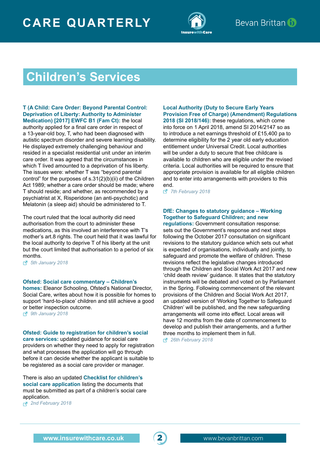

### **Children's Services**

#### **[T \(A Child: Care Order: Beyond Parental Control:](http://www.bailii.org/ew/cases/EWFC/OJ/2018/B1.html)  [Deprivation of Liberty: Authority to Administer](http://www.bailii.org/ew/cases/EWFC/OJ/2018/B1.html)  [Medication\) \[2017\] EWFC B1 \(Fam Ct\):](http://www.bailii.org/ew/cases/EWFC/OJ/2018/B1.html)** the local

authority applied for a final care order in respect of a 13-year-old boy, T, who had been diagnosed with autistic spectrum disorder and severe learning disability. He displayed extremely challenging behaviour and resided in a specialist residential unit under an interim care order. It was agreed that the circumstances in which T lived amounted to a deprivation of his liberty. The issues were: whether T was "beyond parental control" for the purposes of s.31(2)(b)(ii) of the Children Act 1989; whether a care order should be made; where T should reside; and whether, as recommended by a psychiatrist at X, Risperidone (an anti-psychotic) and Melatonin (a sleep aid) should be administered to T.

The court ruled that the local authority did need authorisation from the court to administer these medications, as this involved an interference with T's mother's art.8 rights. The court held that it was lawful for the local authority to deprive T of his liberty at the unit but the court limited that authorisation to a period of six months.

*5th January 2018*

#### **[Ofsted: Social care commentary – Children's](https://www.gov.uk/government/speeches/social-care-commentary-childrens-homes)**

**[homes:](https://www.gov.uk/government/speeches/social-care-commentary-childrens-homes)** Eleanor Schooling, Ofsted's National Director, Social Care, writes about how it is possible for homes to support 'hard-to-place' children and still achieve a good or better inspection outcome.

*9th January 2018*

#### **[Ofsted: Guide to registration for children's social](https://www.gov.uk/government/uploads/system/uploads/attachment_data/file/678776/Guide_to_registration_for_childrens_social_care_services_Feb_2018.pdf)**

**[care services:](https://www.gov.uk/government/uploads/system/uploads/attachment_data/file/678776/Guide_to_registration_for_childrens_social_care_services_Feb_2018.pdf)** updated guidance for social care providers on whether they need to apply for registration and what processes the application will go through before it can decide whether the applicant is suitable to be registered as a social care provider or manager.

There is also an updated **[Checklist for children's](https://www.gov.uk/government/uploads/system/uploads/attachment_data/file/678771/Register_as_a_children_s_social_care_provider_-_checklist.pdf)  [social care application](https://www.gov.uk/government/uploads/system/uploads/attachment_data/file/678771/Register_as_a_children_s_social_care_provider_-_checklist.pdf)** listing the documents that must be submitted as part of a children's social care application.

*2nd February 2018*

### **[Local Authority \(Duty to Secure Early Years](http://www.legislation.gov.uk/uksi/2018/146/contents/made)  [Provision Free of Charge\) \(Amendment\) Regulations](http://www.legislation.gov.uk/uksi/2018/146/contents/made)**

**[2018 \(SI 2018/146\):](http://www.legislation.gov.uk/uksi/2018/146/contents/made)** these regulations, which come into force on 1 April 2018, amend SI 2014/2147 so as to introduce a net earnings threshold of £15,400 pa to determine eligibility for the 2 year old early education entitlement under Universal Credit. Local authorities will be under a duty to secure that free childcare is available to children who are eligible under the revised criteria. Local authorities will be required to ensure that appropriate provision is available for all eligible children and to enter into arrangements with providers to this [en](http://www.legislation.gov.uk/uksi/2018/146/contents/made)d.

*7th February 2018*

#### **[DfE: Changes to statutory guidance – Working](https://www.gov.uk/government/uploads/system/uploads/attachment_data/file/683115/Changes_to_statutory_guidance-_Working_Together_to_Safeguard_Children.pdf)  [Together to Safeguard Children; and new](https://www.gov.uk/government/uploads/system/uploads/attachment_data/file/683115/Changes_to_statutory_guidance-_Working_Together_to_Safeguard_Children.pdf)**

**[regulations:](https://www.gov.uk/government/uploads/system/uploads/attachment_data/file/683115/Changes_to_statutory_guidance-_Working_Together_to_Safeguard_Children.pdf)** Government consultation response: sets out the Government's response and next steps following the October 2017 consultation on significant revisions to the statutory guidance which sets out what is expected of organisations, individually and jointly, to safeguard and promote the welfare of children. These revisions reflect the legislative changes introduced through the Children and Social Work Act 2017 and new 'child death review' guidance. It states that the statutory instruments will be debated and voted on by Parliament in the Spring. Following commencement of the relevant provisions of the Children and Social Work Act 2017, an updated version of 'Working Together to Safeguard Children' will be published, and the new safeguarding arrangements will come into effect. Local areas will have 12 months from the date of commencement to develop and publish their arrangements, and a further three months to implement them in full.

*26th February 2018*

2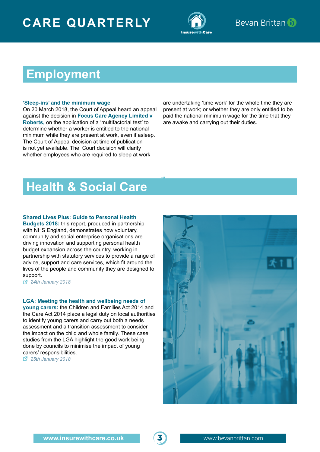

### **Employment**

#### **'Sleep-ins' and the minimum wage**

On 20 March 2018, the Court of Appeal heard an appeal against the decision in **Focus Care Agency Limited v Roberts,** on the application of a 'multifactorial test' to determine whether a worker is entitled to the national minimum while they are present at work, even if asleep. The Court of Appeal decision at time of publication is not yet available. The Court decision will clarify whether employees who are required to sleep at work

are undertaking 'time work' for the whole time they are present at work; or whether they are only entitled to be paid the national minimum wage for the time that they are awake and carrying out their duties.

### **Health & Social Care**

#### **[Shared Lives Plus: Guide to Personal Health](https://sharedlivesplus.org.uk/images/publications/Personal_Health_Budgets_2018.pdf)**

**[Budgets 2018:](https://sharedlivesplus.org.uk/images/publications/Personal_Health_Budgets_2018.pdf)** this report, produced in partnership with NHS England, demonstrates how voluntary, community and social enterprise organisations are driving innovation and supporting personal health budget expansion across the country, working in partnership with statutory services to provide a range of advice, support and care services, which fit around the lives of the people and community they are designed to support.

*24th January 2018*

#### **[LGA: Meeting the health and wellbeing needs of](https://www.local.gov.uk/sites/default/files/documents/LGA_Meeting%20the%20health%20and%20wellbeing%20of%20young%20carers_22%2019_January%202018.pdf)**

**[young carers:](https://www.local.gov.uk/sites/default/files/documents/LGA_Meeting%20the%20health%20and%20wellbeing%20of%20young%20carers_22%2019_January%202018.pdf)** the Children and Families Act 2014 and the Care Act 2014 place a legal duty on local authorities to identify young carers and carry out both a needs assessment and a transition assessment to consider the impact on the child and whole family. These case studies from the LGA highlight the good work being done by councils to minimise the impact of young [ca](https://www.local.gov.uk/sites/default/files/documents/LGA_Meeting%20the%20health%20and%20wellbeing%20of%20young%20carers_22%2019_January%202018.pdf)rers' responsibilities.

*25th January 2018*



3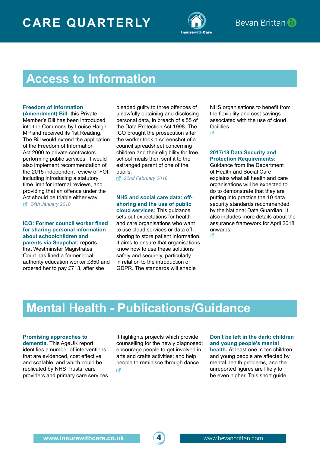

### **Access to Information**

#### **[Freedom of Information](https://services.parliament.uk/bills/2017-19/freedomofinformationamendment.html)**

**[\(Amendment\) Bill:](https://services.parliament.uk/bills/2017-19/freedomofinformationamendment.html)** this Private Member's Bill has been introduced into the Commons by Louise Haigh MP and received its 1st Reading. The Bill would extend the application of the Freedom of Information Act 2000 to private contractors performing public services. It would also implement recommendation of the 2015 independent review of FOI, including introducing a statutory time limit for internal reviews, and providing that an offence under the Act should be triable either way. *24th January 2018*

**[ICO: Former council worker fined](https://ico.org.uk/about-the-ico/news-and-events/news-and-blogs/2018/02/former-council-worker-fined-for-sharing-personal-information/)  [for sharing personal information](https://ico.org.uk/about-the-ico/news-and-events/news-and-blogs/2018/02/former-council-worker-fined-for-sharing-personal-information/)  [about schoolchildren and](https://ico.org.uk/about-the-ico/news-and-events/news-and-blogs/2018/02/former-council-worker-fined-for-sharing-personal-information/)  [parents via Snapchat:](https://ico.org.uk/about-the-ico/news-and-events/news-and-blogs/2018/02/former-council-worker-fined-for-sharing-personal-information/)** reports that Westminster Magistrates' Court has fined a former local authority education worker £850 and ordered her to pay £713, after she

pleaded guilty to three offences of unlawfully obtaining and disclosing personal data, in breach of s.55 of the Data Protection Act 1998. The ICO brought the prosecution after the worker took a screenshot of a council spreadsheet concerning children and their eligibility for free school meals then sent it to the estranged parent of one of the pupils.

*22nd February 2018*

#### **[NHS and social care data: off](https://www.digital.nhs.uk/article/8499/NHS-and-social-care-data-off-shoring-and-the-use-of-public-cloud-services-guidance)[shoring and the use of public](https://www.digital.nhs.uk/article/8499/NHS-and-social-care-data-off-shoring-and-the-use-of-public-cloud-services-guidance)**

**[cloud services:](https://www.digital.nhs.uk/article/8499/NHS-and-social-care-data-off-shoring-and-the-use-of-public-cloud-services-guidance)** This guidance sets out expectations for health and care organisations who want to use cloud services or data offshoring to store patient information. It aims to ensure that organisations know how to use these solutions safely and securely, particularly in relation to the introduction of GDPR. The standards will enable

NHS organisations to benefit from the flexibility and cost savings associated with the use of cloud facilities.

 $\mathsf{F}_1$ 

#### **[2017/18 Data Security and](https://www.gov.uk/government/uploads/system/uploads/attachment_data/file/675420/17-18_statement_of_requirements_Branded_template_final_22_11_18-1.pdf)  [Protection Requirements:](https://www.gov.uk/government/uploads/system/uploads/attachment_data/file/675420/17-18_statement_of_requirements_Branded_template_final_22_11_18-1.pdf)**

Guidance from the Department of Health and Social Care explains what all health and care organisations will be expected to do to demonstrate that they are putting into practice the 10 data security standards recommended by the National Data Guardian. It also includes more details about the assurance framework for April 2018 [on](https://www.gov.uk/government/uploads/system/uploads/attachment_data/file/675420/17-18_statement_of_requirements_Branded_template_final_22_11_18-1.pdf)wards. R

### **Mental Health - Publications/Guidance**

#### **[Promising approaches to](https://www.ageuk.org.uk/globalassets/age-uk/documents/reports-and-publications/reports-and-briefings/health--wellbeing/rb_feb2018_promising_approaches_to_living_well_with_dementia_report.pdf)**

**[dementia.](https://www.ageuk.org.uk/globalassets/age-uk/documents/reports-and-publications/reports-and-briefings/health--wellbeing/rb_feb2018_promising_approaches_to_living_well_with_dementia_report.pdf)** This AgeUK report identifies a number of interventions that are evidenced, cost effective and scalable, and which could be replicated by NHS Trusts, care providers and primary care services. It highlights projects which provide counselling for the newly diagnosed; encourage people to get involved in arts and crafts activities; and help people to reminisce through dance. M

#### **[Don't be left in the dark: children](https://www.local.gov.uk/sites/default/files/documents/15.9%20DBLITD%20mental_health_v07_web.pdf)  [and young people's mental](https://www.local.gov.uk/sites/default/files/documents/15.9%20DBLITD%20mental_health_v07_web.pdf)**

**[health.](https://www.local.gov.uk/sites/default/files/documents/15.9%20DBLITD%20mental_health_v07_web.pdf)** At least one in ten children and young people are affected by mental health problems, and the unreported figures are likely to be even higher. This short guide